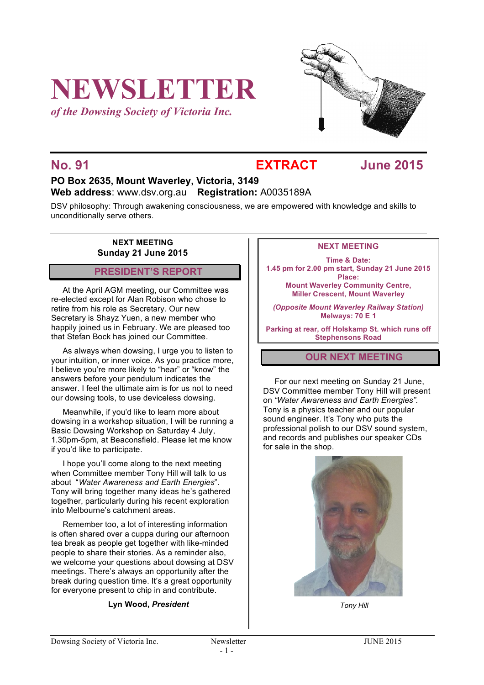# **NEWSLETTER**

*of the Dowsing Society of Victoria Inc.*



# **No. 91 EXTRACT June 2015**

# **PO Box 2635, Mount Waverley, Victoria, 3149 Web address**: www.dsv.org.au **Registration:** A0035189A

DSV philosophy: Through awakening consciousness, we are empowered with knowledge and skills to unconditionally serve others.

# **NEXT MEETING Sunday 21 June 2015**

# **PRESIDENT'S REPORT**

At the April AGM meeting, our Committee was re-elected except for Alan Robison who chose to retire from his role as Secretary. Our new Secretary is Shayz Yuen, a new member who happily joined us in February. We are pleased too that Stefan Bock has joined our Committee.

As always when dowsing, I urge you to listen to your intuition, or inner voice. As you practice more, I believe you're more likely to "hear" or "know" the answers before your pendulum indicates the answer. I feel the ultimate aim is for us not to need our dowsing tools, to use deviceless dowsing.

Meanwhile, if you'd like to learn more about dowsing in a workshop situation, I will be running a Basic Dowsing Workshop on Saturday 4 July, 1.30pm-5pm, at Beaconsfield. Please let me know if you'd like to participate.

I hope you'll come along to the next meeting when Committee member Tony Hill will talk to us about "*Water Awareness and Earth Energies*". Tony will bring together many ideas he's gathered together, particularly during his recent exploration into Melbourne's catchment areas.

Remember too, a lot of interesting information is often shared over a cuppa during our afternoon tea break as people get together with like-minded people to share their stories. As a reminder also, we welcome your questions about dowsing at DSV meetings. There's always an opportunity after the break during question time. It's a great opportunity for everyone present to chip in and contribute.

# **Lyn Wood,** *President*

# **NEXT MEETING**

**Time & Date: 1.45 pm for 2.00 pm start, Sunday 21 June 2015 Place: Mount Waverley Community Centre, Miller Crescent, Mount Waverley**

*(Opposite Mount Waverley Railway Station)* **Melways: 70 E 1**

**Parking at rear, off Holskamp St. which runs off Stephensons Road**

# **OUR NEXT MEETING**

For our next meeting on Sunday 21 June, DSV Committee member Tony Hill will present on *"Water Awareness and Earth Energies".* Tony is a physics teacher and our popular sound engineer. It's Tony who puts the professional polish to our DSV sound system, and records and publishes our speaker CDs for sale in the shop.



*Tony Hill*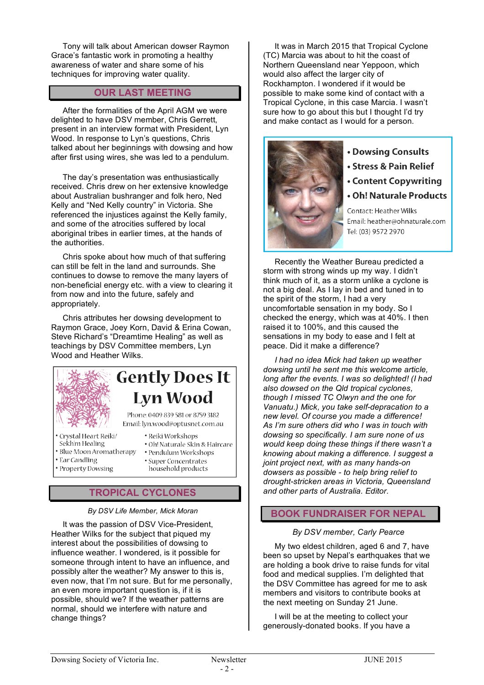Tony will talk about American dowser Raymon Grace's fantastic work in promoting a healthy awareness of water and share some of his techniques for improving water quality.

# **OUR LAST MEETING**

After the formalities of the April AGM we were delighted to have DSV member, Chris Gerrett, present in an interview format with President, Lyn Wood. In response to Lyn's questions, Chris talked about her beginnings with dowsing and how after first using wires, she was led to a pendulum.

The day's presentation was enthusiastically received. Chris drew on her extensive knowledge about Australian bushranger and folk hero, Ned Kelly and "Ned Kelly country" in Victoria. She referenced the injustices against the Kelly family, and some of the atrocities suffered by local aboriginal tribes in earlier times, at the hands of the authorities.

Chris spoke about how much of that suffering can still be felt in the land and surrounds. She continues to dowse to remove the many layers of non-beneficial energy etc. with a view to clearing it from now and into the future, safely and appropriately.

Chris attributes her dowsing development to Raymon Grace, Joey Korn, David & Erina Cowan, Steve Richard's "Dreamtime Healing" as well as teachings by DSV Committee members, Lyn Wood and Heather Wilks.



# **Gently Does It Lyn Wood**

Phone: 0409 839 581 or 8759 3182 Email: lyn.wood@optusnet.com.au

- Crystal Heart Reiki/
- Sekh'm Healing
- Blue Moon Aromatherapy
- Ear Candling
- · Property Dowsing
- · Reiki Workshops · Oh! Naturale Skin & Haircare · Pendulum Workshops · Super Concentrates
- household products

# **TROPICAL CYCLONES**

# *By DSV Life Member, Mick Moran*

It was the passion of DSV Vice-President, Heather Wilks for the subject that piqued my interest about the possibilities of dowsing to influence weather. I wondered, is it possible for someone through intent to have an influence, and possibly alter the weather? My answer to this is, even now, that I'm not sure. But for me personally, an even more important question is, if it is possible, should we? If the weather patterns are normal, should we interfere with nature and change things?

It was in March 2015 that Tropical Cyclone (TC) Marcia was about to hit the coast of Northern Queensland near Yeppoon, which would also affect the larger city of Rockhampton. I wondered if it would be possible to make some kind of contact with a Tropical Cyclone, in this case Marcia. I wasn't sure how to go about this but I thought I'd try and make contact as I would for a person.



- Dowsing Consults
- Stress & Pain Relief
- Content Copywriting
- Oh! Naturale Products

Contact: Heather Wilks Email: heather@ohnaturale.com Tel: (03) 9572 2970

Recently the Weather Bureau predicted a storm with strong winds up my way. I didn't think much of it, as a storm unlike a cyclone is not a big deal. As I lay in bed and tuned in to the spirit of the storm, I had a very uncomfortable sensation in my body. So I checked the energy, which was at 40%. I then raised it to 100%, and this caused the sensations in my body to ease and I felt at peace. Did it make a difference?

*I had no idea Mick had taken up weather dowsing until he sent me this welcome article, long after the events. I was so delighted! (I had also dowsed on the Qld tropical cyclones, though I missed TC Olwyn and the one for Vanuatu.) Mick, you take self-depracation to a new level. Of course you made a difference! As I'm sure others did who I was in touch with dowsing so specifically. I am sure none of us would keep doing these things if there wasn't a knowing about making a difference. I suggest a joint project next, with as many hands-on dowsers as possible - to help bring relief to drought-stricken areas in Victoria, Queensland and other parts of Australia. Editor.*

# **BOOK FUNDRAISER FOR NEPAL**

# *By DSV member, Carly Pearce*

My two eldest children, aged 6 and 7, have been so upset by Nepal's earthquakes that we are holding a book drive to raise funds for vital food and medical supplies. I'm delighted that the DSV Committee has agreed for me to ask members and visitors to contribute books at the next meeting on Sunday 21 June.

I will be at the meeting to collect your generously-donated books. If you have a